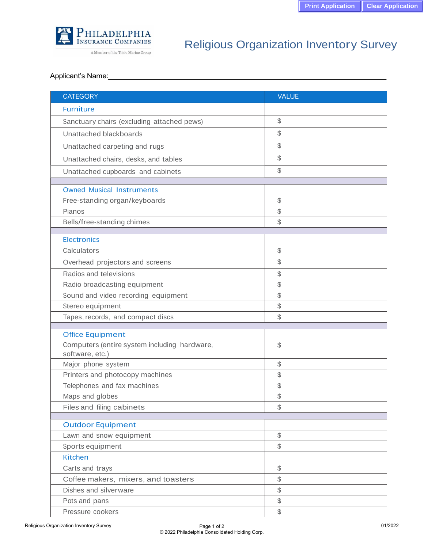

A Member of the Tokio Marine Group

## Religious Organization Inventory Survey

## Applicant's Name:

| <b>CATEGORY</b>                              | <b>VALUE</b>                                        |
|----------------------------------------------|-----------------------------------------------------|
| <b>Furniture</b>                             |                                                     |
| Sanctuary chairs (excluding attached pews)   | \$                                                  |
| Unattached blackboards                       | \$                                                  |
| Unattached carpeting and rugs                | \$                                                  |
| Unattached chairs, desks, and tables         | \$                                                  |
|                                              | \$                                                  |
| Unattached cupboards and cabinets            |                                                     |
| <b>Owned Musical Instruments</b>             |                                                     |
| Free-standing organ/keyboards                | \$                                                  |
| Pianos                                       | \$                                                  |
| Bells/free-standing chimes                   | \$                                                  |
| <b>Electronics</b>                           |                                                     |
| Calculators                                  | $\, \, \raisebox{12pt}{$\scriptstyle \circ$}$       |
|                                              |                                                     |
| Overhead projectors and screens              | \$                                                  |
| Radios and televisions                       | \$                                                  |
| Radio broadcasting equipment                 | \$                                                  |
| Sound and video recording equipment          | \$                                                  |
| Stereo equipment                             | \$                                                  |
| Tapes, records, and compact discs            | \$                                                  |
| <b>Office Equipment</b>                      |                                                     |
| Computers (entire system including hardware, | \$                                                  |
| software, etc.)                              |                                                     |
| Major phone system                           | \$                                                  |
| Printers and photocopy machines              | \$                                                  |
| Telephones and fax machines                  | \$                                                  |
| Maps and globes                              | \$                                                  |
| Files and filing cabinets                    | \$                                                  |
|                                              |                                                     |
| <b>Outdoor Equipment</b>                     | $\frac{1}{2}$                                       |
| Lawn and snow equipment                      | $\mathcal{L}$                                       |
| Sports equipment<br><b>Kitchen</b>           |                                                     |
|                                              |                                                     |
| Carts and trays                              | $\, \, \raisebox{12pt}{$\scriptstyle \circ$}$<br>\$ |
| Coffee makers, mixers, and toasters          |                                                     |
| Dishes and silverware                        | \$                                                  |
| Pots and pans                                | \$                                                  |
| Pressure cookers                             | \$                                                  |